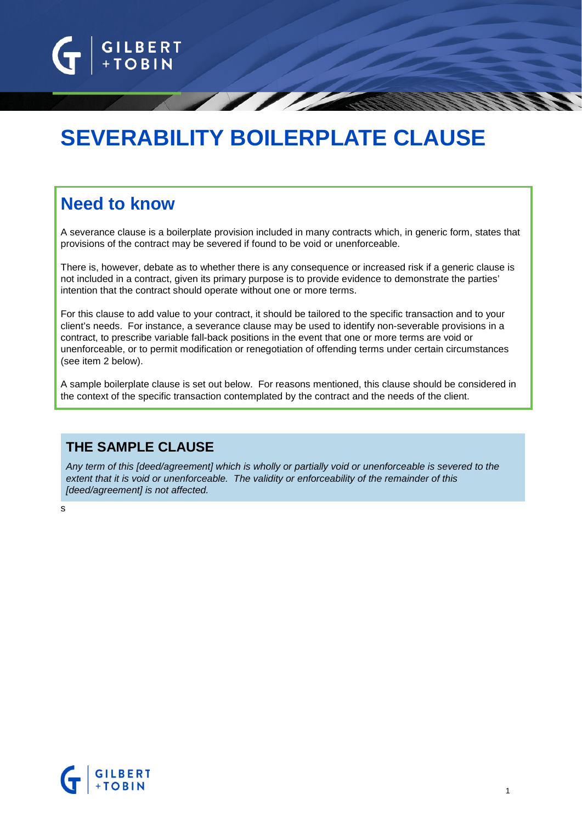

# **SEVERABILITY BOILERPLATE CLAUSE**

## **Need to know**

A severance clause is a boilerplate provision included in many contracts which, in generic form, states that provisions of the contract may be severed if found to be void or unenforceable.

There is, however, debate as to whether there is any consequence or increased risk if a generic clause is not included in a contract, given its primary purpose is to provide evidence to demonstrate the parties' intention that the contract should operate without one or more terms.

For this clause to add value to your contract, it should be tailored to the specific transaction and to your client's needs. For instance, a severance clause may be used to identify non-severable provisions in a contract, to prescribe variable fall-back positions in the event that one or more terms are void or unenforceable, or to permit modification or renegotiation of offending terms under certain circumstances (see item 2 below).

A sample boilerplate clause is set out below. For reasons mentioned, this clause should be considered in the context of the specific transaction contemplated by the contract and the needs of the client.

### **THE SAMPLE CLAUSE**

*Any term of this [deed/agreement] which is wholly or partially void or unenforceable is severed to the extent that it is void or unenforceable. The validity or enforceability of the remainder of this [deed/agreement] is not affected.*

s

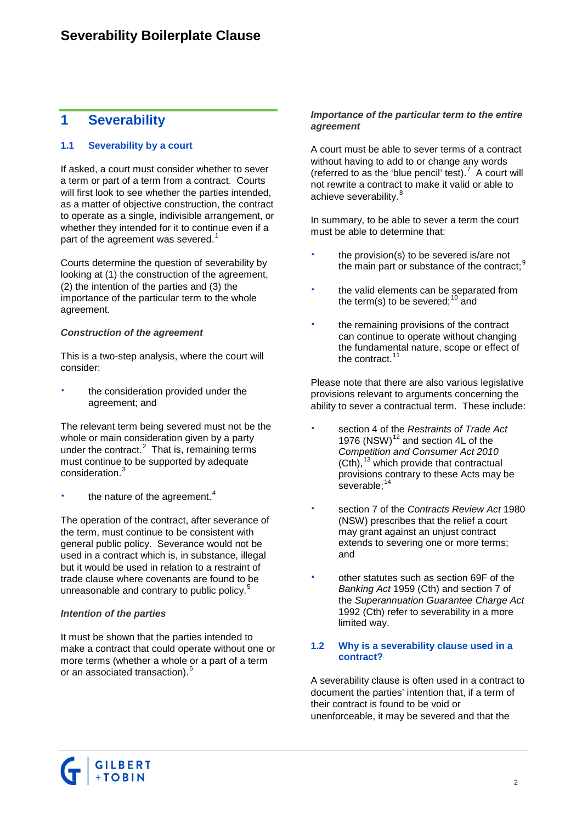### **1 Severability**

#### **1.1 Severability by a court**

If asked, a court must consider whether to sever a term or part of a term from a contract. Courts will first look to see whether the parties intended, as a matter of objective construction, the contract to operate as a single, indivisible arrangement, or whether they intended for it to continue even if a part of the agreement was severed.<sup>[1](#page-3-0)</sup>

Courts determine the question of severability by looking at (1) the construction of the agreement, (2) the intention of the parties and (3) the importance of the particular term to the whole agreement.

#### *Construction of the agreement*

This is a two-step analysis, where the court will consider:

 the consideration provided under the agreement; and

The relevant term being severed must not be the whole or main consideration given by a party under the contract. $2$  That is, remaining terms must continue to be supported by adequate consideration.<sup>[3](#page-3-2)</sup>

the nature of the agreement.<sup>[4](#page-3-3)</sup>

The operation of the contract, after severance of the term, must continue to be consistent with general public policy. Severance would not be used in a contract which is, in substance, illegal but it would be used in relation to a restraint of trade clause where covenants are found to be unreasonable and contrary to public policy.<sup>[5](#page-3-4)</sup>

#### *Intention of the parties*

It must be shown that the parties intended to make a contract that could operate without one or more terms (whether a whole or a part of a term or an associated transaction).<sup>[6](#page-3-5)</sup>

#### *Importance of the particular term to the entire agreement*

A court must be able to sever terms of a contract without having to add to or change any words (referred to as the 'blue pencil' test).<sup>[7](#page-3-6)</sup> A court will not rewrite a contract to make it valid or able to achieve severability.<sup>[8](#page-3-7)</sup>

In summary, to be able to sever a term the court must be able to determine that:

- the provision(s) to be severed is/are not the main part or substance of the contract;  $9$
- the valid elements can be separated from the term(s) to be severed;  $10 \text{ rad}$  $10 \text{ rad}$
- the remaining provisions of the contract can continue to operate without changing the fundamental nature, scope or effect of the contract. $11$

Please note that there are also various legislative provisions relevant to arguments concerning the ability to sever a contractual term. These include:

- section 4 of the *Restraints of Trade Act* 1976  $(NSW)^{12}$  $(NSW)^{12}$  $(NSW)^{12}$  and section 4L of the *Competition and Consumer Act 2010*  $(Cth)$ ,<sup>[13](#page-3-12)</sup> which provide that contractual provisions contrary to these Acts may be severable;<sup>[14](#page-3-13)</sup>
- section 7 of the *Contracts Review Act* 1980 (NSW) prescribes that the relief a court may grant against an unjust contract extends to severing one or more terms; and
- other statutes such as section 69F of the *Banking Act* 1959 (Cth) and section 7 of the *Superannuation Guarantee Charge Act* 1992 (Cth) refer to severability in a more limited way.

#### **1.2 Why is a severability clause used in a contract?**

A severability clause is often used in a contract to document the parties' intention that, if a term of their contract is found to be void or unenforceable, it may be severed and that the

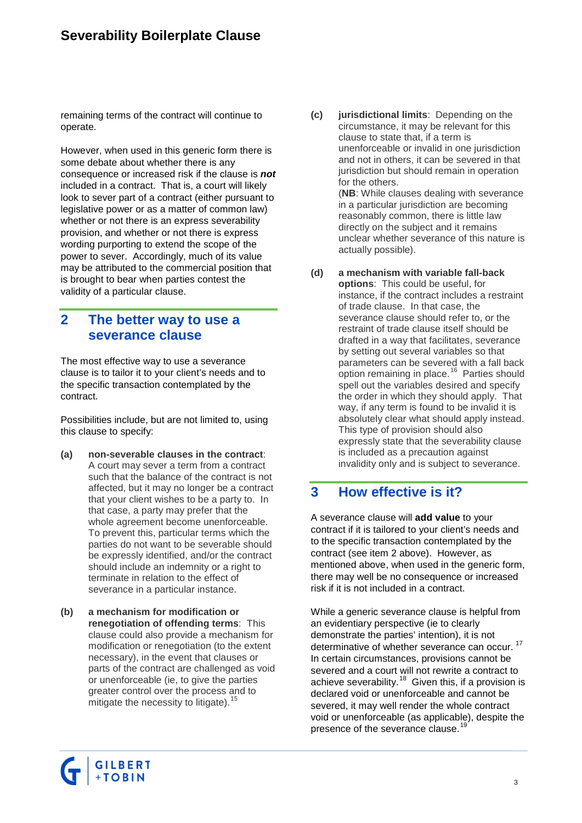### **Severability Boilerplate Clause**

remaining terms of the contract will continue to operate.

However, when used in this generic form there is some debate about whether there is any consequence or increased risk if the clause is *not* included in a contract. That is, a court will likely look to sever part of a contract (either pursuant to legislative power or as a matter of common law) whether or not there is an express severability provision, and whether or not there is express wording purporting to extend the scope of the power to sever. Accordingly, much of its value may be attributed to the commercial position that is brought to bear when parties contest the validity of a particular clause.

### <span id="page-2-0"></span>**2 The better way to use a severance clause**

The most effective way to use a severance clause is to tailor it to your client's needs and to the specific transaction contemplated by the contract.

Possibilities include, but are not limited to, using this clause to specify:

- **(a) non-severable clauses in the contract**: A court may sever a term from a contract such that the balance of the contract is not affected, but it may no longer be a contract that your client wishes to be a party to. In that case, a party may prefer that the whole agreement become unenforceable. To prevent this, particular terms which the parties do not want to be severable should be expressly identified, and/or the contract should include an indemnity or a right to terminate in relation to the effect of severance in a particular instance.
- **(b) a mechanism for modification or renegotiation of offending terms**: This clause could also provide a mechanism for modification or renegotiation (to the extent necessary), in the event that clauses or parts of the contract are challenged as void or unenforceable (ie, to give the parties greater control over the process and to mitigate the necessity to litigate).<sup>1</sup>

**(c) jurisdictional limits**: Depending on the circumstance, it may be relevant for this clause to state that, if a term is unenforceable or invalid in one jurisdiction and not in others, it can be severed in that jurisdiction but should remain in operation for the others. (**NB**: While clauses dealing with severance

in a particular jurisdiction are becoming reasonably common, there is little law directly on the subject and it remains unclear whether severance of this nature is actually possible).

**(d) a mechanism with variable fall-back options**: This could be useful, for instance, if the contract includes a restraint of trade clause. In that case, the severance clause should refer to, or the restraint of trade clause itself should be drafted in a way that facilitates, severance by setting out several variables so that parameters can be severed with a fall back option remaining in place.<sup>[16](#page-3-15)</sup> Parties should spell out the variables desired and specify the order in which they should apply. That way, if any term is found to be invalid it is absolutely clear what should apply instead. This type of provision should also expressly state that the severability clause is included as a precaution against invalidity only and is subject to severance.

### **3 How effective is it?**

A severance clause will **add value** to your contract if it is tailored to your client's needs and to the specific transaction contemplated by the contract (see item [2](#page-2-0) above). However, as mentioned above, when used in the generic form, there may well be no consequence or increased risk if it is not included in a contract.

While a generic severance clause is helpful from an evidentiary perspective (ie to clearly demonstrate the parties' intention), it is not determinative of whether severance can occur.<sup>17</sup> In certain circumstances, provisions cannot be severed and a court will not rewrite a contract to achieve severability.<sup>18</sup> Given this, if a provision is declared void or unenforceable and cannot be severed, it may well render the whole contract void or unenforceable (as applicable), despite the presence of the severance clause.<sup>[19](#page-3-18)</sup>